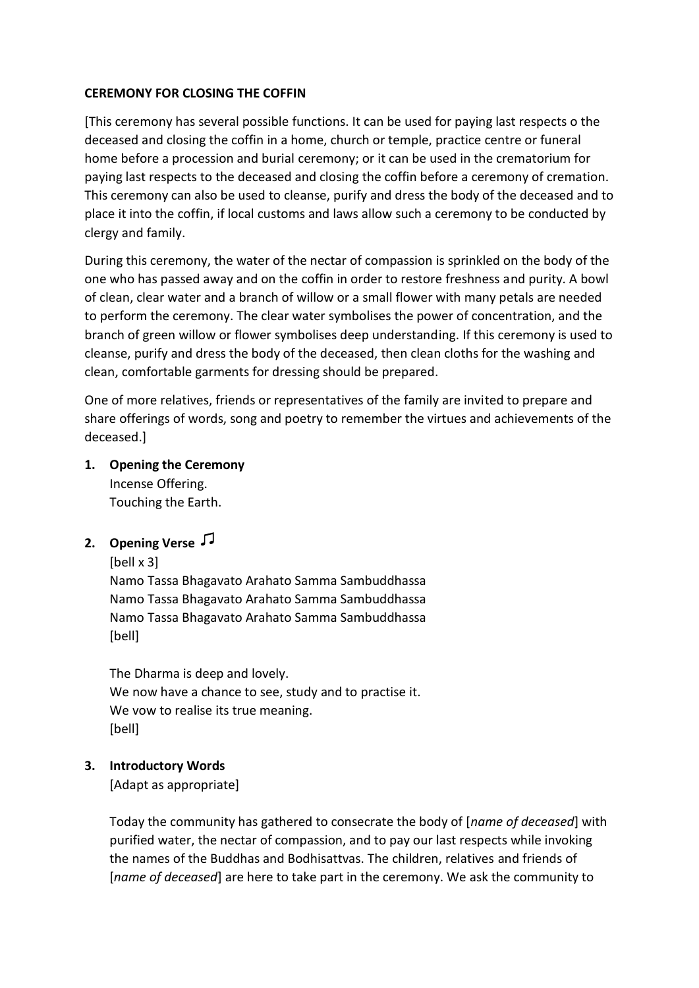### **CEREMONY FOR CLOSING THE COFFIN**

[This ceremony has several possible functions. It can be used for paying last respects o the deceased and closing the coffin in a home, church or temple, practice centre or funeral home before a procession and burial ceremony; or it can be used in the crematorium for paying last respects to the deceased and closing the coffin before a ceremony of cremation. This ceremony can also be used to cleanse, purify and dress the body of the deceased and to place it into the coffin, if local customs and laws allow such a ceremony to be conducted by clergy and family.

During this ceremony, the water of the nectar of compassion is sprinkled on the body of the one who has passed away and on the coffin in order to restore freshness and purity. A bowl of clean, clear water and a branch of willow or a small flower with many petals are needed to perform the ceremony. The clear water symbolises the power of concentration, and the branch of green willow or flower symbolises deep understanding. If this ceremony is used to cleanse, purify and dress the body of the deceased, then clean cloths for the washing and clean, comfortable garments for dressing should be prepared.

One of more relatives, friends or representatives of the family are invited to prepare and share offerings of words, song and poetry to remember the virtues and achievements of the deceased.]

**1. Opening the Ceremony**

Incense Offering. Touching the Earth.

**2. Opening Verse**

[bell x 3] Namo Tassa Bhagavato Arahato Samma Sambuddhassa Namo Tassa Bhagavato Arahato Samma Sambuddhassa Namo Tassa Bhagavato Arahato Samma Sambuddhassa [bell]

The Dharma is deep and lovely. We now have a chance to see, study and to practise it. We vow to realise its true meaning. [bell]

# **3. Introductory Words**

[Adapt as appropriate]

Today the community has gathered to consecrate the body of [*name of deceased*] with purified water, the nectar of compassion, and to pay our last respects while invoking the names of the Buddhas and Bodhisattvas. The children, relatives and friends of [*name of deceased*] are here to take part in the ceremony. We ask the community to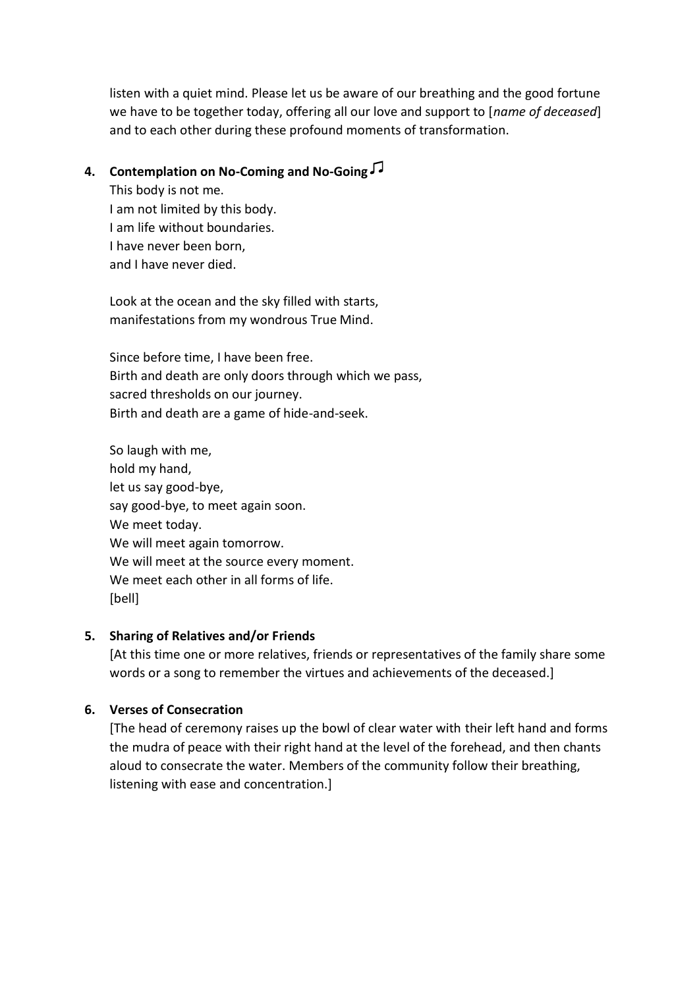listen with a quiet mind. Please let us be aware of our breathing and the good fortune we have to be together today, offering all our love and support to [*name of deceased*] and to each other during these profound moments of transformation.

# **4. Contemplation on No-Coming and No-Going**

This body is not me. I am not limited by this body. I am life without boundaries. I have never been born, and I have never died.

Look at the ocean and the sky filled with starts, manifestations from my wondrous True Mind.

Since before time, I have been free. Birth and death are only doors through which we pass, sacred thresholds on our journey. Birth and death are a game of hide-and-seek.

So laugh with me, hold my hand, let us say good-bye, say good-bye, to meet again soon. We meet today. We will meet again tomorrow. We will meet at the source every moment. We meet each other in all forms of life. [bell]

# **5. Sharing of Relatives and/or Friends**

[At this time one or more relatives, friends or representatives of the family share some words or a song to remember the virtues and achievements of the deceased.]

# **6. Verses of Consecration**

[The head of ceremony raises up the bowl of clear water with their left hand and forms the mudra of peace with their right hand at the level of the forehead, and then chants aloud to consecrate the water. Members of the community follow their breathing, listening with ease and concentration.]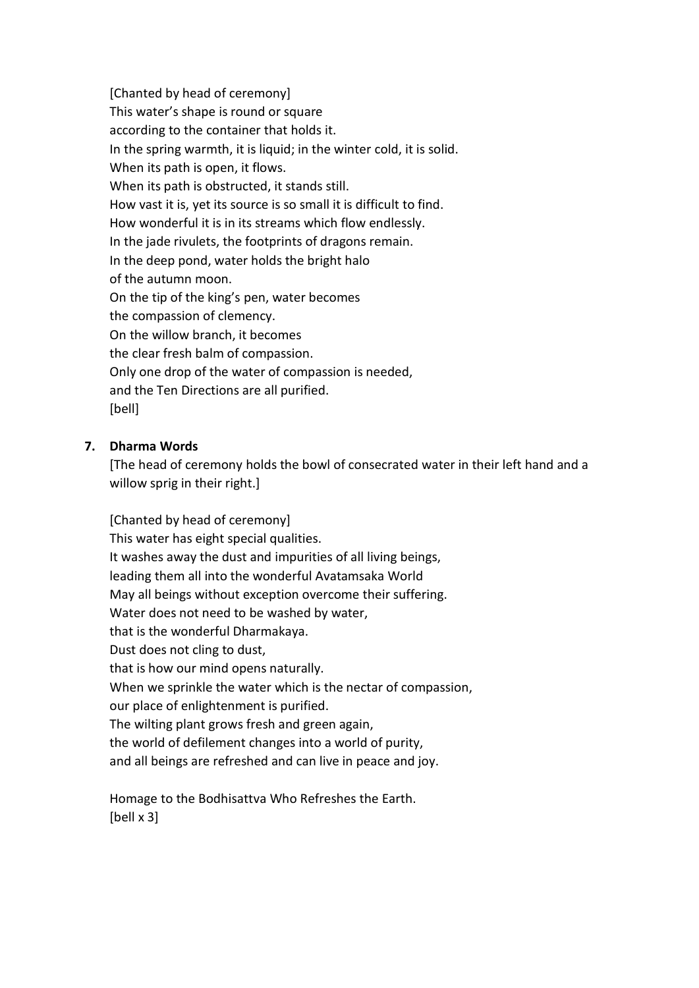[Chanted by head of ceremony] This water's shape is round or square according to the container that holds it. In the spring warmth, it is liquid; in the winter cold, it is solid. When its path is open, it flows. When its path is obstructed, it stands still. How vast it is, yet its source is so small it is difficult to find. How wonderful it is in its streams which flow endlessly. In the jade rivulets, the footprints of dragons remain. In the deep pond, water holds the bright halo of the autumn moon. On the tip of the king's pen, water becomes the compassion of clemency. On the willow branch, it becomes the clear fresh balm of compassion. Only one drop of the water of compassion is needed, and the Ten Directions are all purified. [bell]

### **7. Dharma Words**

[The head of ceremony holds the bowl of consecrated water in their left hand and a willow sprig in their right.]

[Chanted by head of ceremony] This water has eight special qualities. It washes away the dust and impurities of all living beings, leading them all into the wonderful Avatamsaka World May all beings without exception overcome their suffering. Water does not need to be washed by water, that is the wonderful Dharmakaya. Dust does not cling to dust, that is how our mind opens naturally. When we sprinkle the water which is the nectar of compassion, our place of enlightenment is purified. The wilting plant grows fresh and green again, the world of defilement changes into a world of purity, and all beings are refreshed and can live in peace and joy.

Homage to the Bodhisattva Who Refreshes the Earth. [bell x 3]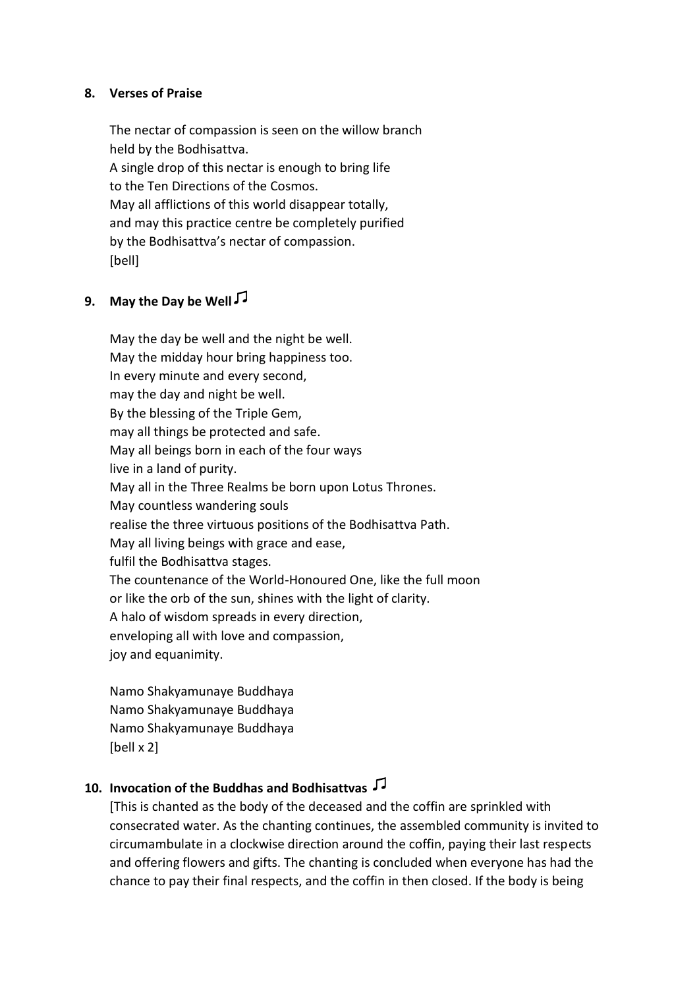#### **8. Verses of Praise**

The nectar of compassion is seen on the willow branch held by the Bodhisattva. A single drop of this nectar is enough to bring life to the Ten Directions of the Cosmos. May all afflictions of this world disappear totally, and may this practice centre be completely purified by the Bodhisattva's nectar of compassion. [bell]

# **9. May the Day be Well**

May the day be well and the night be well. May the midday hour bring happiness too. In every minute and every second, may the day and night be well. By the blessing of the Triple Gem, may all things be protected and safe. May all beings born in each of the four ways live in a land of purity. May all in the Three Realms be born upon Lotus Thrones. May countless wandering souls realise the three virtuous positions of the Bodhisattva Path. May all living beings with grace and ease, fulfil the Bodhisattva stages. The countenance of the World-Honoured One, like the full moon or like the orb of the sun, shines with the light of clarity. A halo of wisdom spreads in every direction, enveloping all with love and compassion, joy and equanimity.

Namo Shakyamunaye Buddhaya Namo Shakyamunaye Buddhaya Namo Shakyamunaye Buddhaya [bell x 2]

# **10. Invocation of the Buddhas and Bodhisattvas**

[This is chanted as the body of the deceased and the coffin are sprinkled with consecrated water. As the chanting continues, the assembled community is invited to circumambulate in a clockwise direction around the coffin, paying their last respects and offering flowers and gifts. The chanting is concluded when everyone has had the chance to pay their final respects, and the coffin in then closed. If the body is being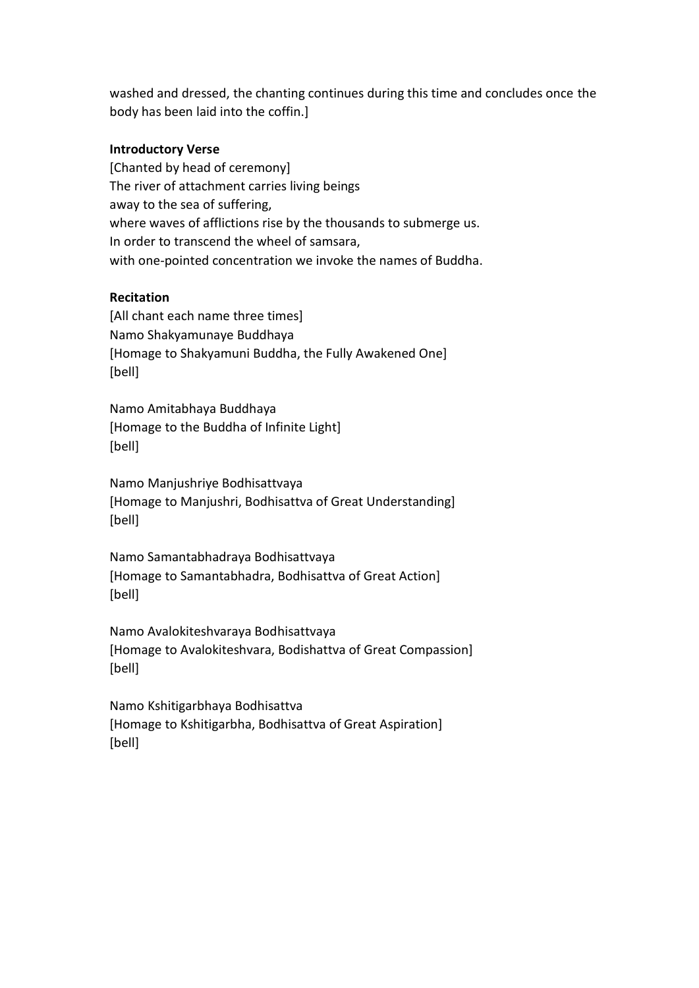washed and dressed, the chanting continues during this time and concludes once the body has been laid into the coffin.]

#### **Introductory Verse**

[Chanted by head of ceremony] The river of attachment carries living beings away to the sea of suffering, where waves of afflictions rise by the thousands to submerge us. In order to transcend the wheel of samsara, with one-pointed concentration we invoke the names of Buddha.

### **Recitation**

[All chant each name three times] Namo Shakyamunaye Buddhaya [Homage to Shakyamuni Buddha, the Fully Awakened One] [bell]

Namo Amitabhaya Buddhaya [Homage to the Buddha of Infinite Light] [bell]

Namo Manjushriye Bodhisattvaya [Homage to Manjushri, Bodhisattva of Great Understanding] [bell]

Namo Samantabhadraya Bodhisattvaya [Homage to Samantabhadra, Bodhisattva of Great Action] [bell]

Namo Avalokiteshvaraya Bodhisattvaya [Homage to Avalokiteshvara, Bodishattva of Great Compassion] [bell]

Namo Kshitigarbhaya Bodhisattva [Homage to Kshitigarbha, Bodhisattva of Great Aspiration] [bell]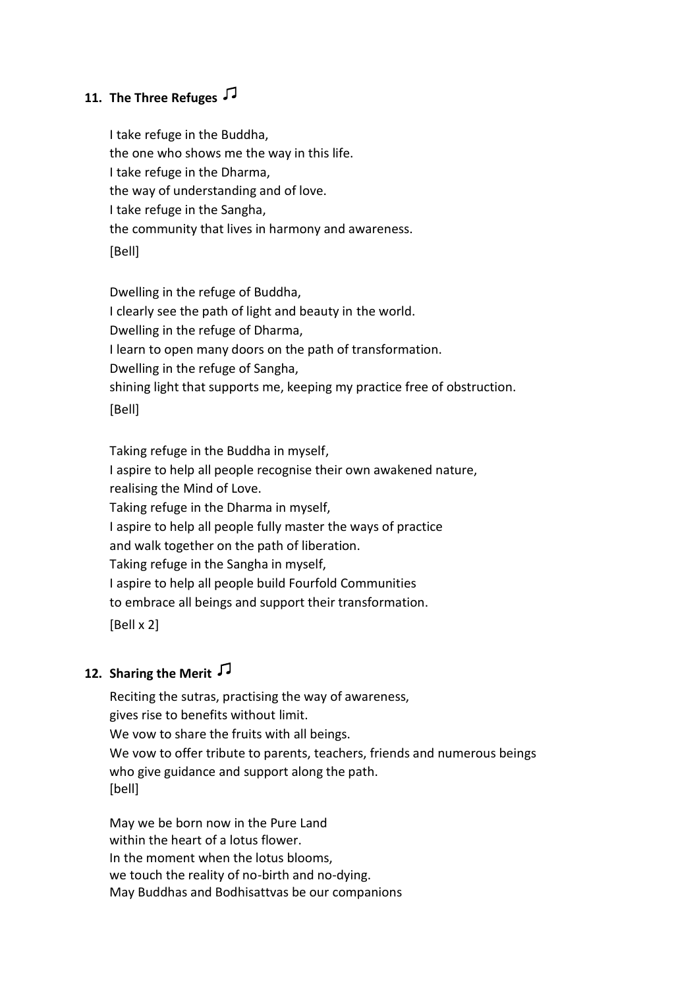# **11. The Three Refuges**

I take refuge in the Buddha, the one who shows me the way in this life. I take refuge in the Dharma, the way of understanding and of love. I take refuge in the Sangha, the community that lives in harmony and awareness. [Bell]

Dwelling in the refuge of Buddha, I clearly see the path of light and beauty in the world. Dwelling in the refuge of Dharma, I learn to open many doors on the path of transformation. Dwelling in the refuge of Sangha, shining light that supports me, keeping my practice free of obstruction. [Bell]

Taking refuge in the Buddha in myself, I aspire to help all people recognise their own awakened nature, realising the Mind of Love. Taking refuge in the Dharma in myself, I aspire to help all people fully master the ways of practice and walk together on the path of liberation. Taking refuge in the Sangha in myself, I aspire to help all people build Fourfold Communities to embrace all beings and support their transformation. [Bell x 2]

# **12. Sharing the Merit**

Reciting the sutras, practising the way of awareness, gives rise to benefits without limit. We vow to share the fruits with all beings. We vow to offer tribute to parents, teachers, friends and numerous beings who give guidance and support along the path. [bell]

May we be born now in the Pure Land within the heart of a lotus flower. In the moment when the lotus blooms, we touch the reality of no-birth and no-dying. May Buddhas and Bodhisattvas be our companions